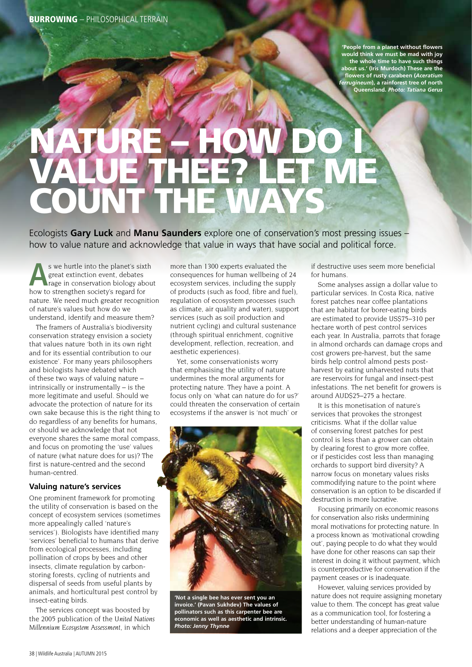**'People from a planet without flowers would think we must be mad with joy the whole time to have such things about us.' (Iris Murdoch) These are the flowers of rusty carabeen (***Aceratium ferrugineum***), a rainforest tree of north Queensland.** *Photo: Tatiana Gerus*

## NATURE – HOW DO I VALUE THEE? LET ME COUNT THE WAYS

Ecologists **Gary Luck** and **Manu Saunders** explore one of conservation's most pressing issues – how to value nature and acknowledge that value in ways that have social and political force.

**A**s we hurtle into the planet's sixth great extinction event, debates rage in conservation biology about how to strengthen society's regard for nature. We need much greater recognition of nature's values but how do we understand, identify and measure them?

The framers of Australia's biodiversity conservation strategy envision a society that values nature 'both in its own right and for its essential contribution to our existence'. For many years philosophers and biologists have debated which of these two ways of valuing nature – intrinsically or instrumentally – is the more legitimate and useful. Should we advocate the protection of nature for its own sake because this is the right thing to do regardless of any benefits for humans, or should we acknowledge that not everyone shares the same moral compass, and focus on promoting the 'use' values of nature (what nature does for us)? The first is nature-centred and the second human-centred.

## **Valuing nature's services**

One prominent framework for promoting the utility of conservation is based on the concept of ecosystem services (sometimes more appealingly called 'nature's services'). Biologists have identified many 'services' beneficial to humans that derive from ecological processes, including pollination of crops by bees and other insects, climate regulation by carbonstoring forests, cycling of nutrients and dispersal of seeds from useful plants by animals, and horticultural pest control by insect-eating birds.

The services concept was boosted by the 2005 publication of the *United Nations Millennium Ecosystem Assessment*, in which

more than 1300 experts evaluated the consequences for human wellbeing of 24 ecosystem services, including the supply of products (such as food, fibre and fuel), regulation of ecosystem processes (such as climate, air quality and water), support services (such as soil production and nutrient cycling) and cultural sustenance (through spiritual enrichment, cognitive development, reflection, recreation, and aesthetic experiences).

Yet, some conservationists worry that emphasising the utility of nature undermines the moral arguments for protecting nature. They have a point. A focus only on 'what can nature do for us?' could threaten the conservation of certain ecosystems if the answer is 'not much' or



**'Not a single bee has ever sent you an invoice.' (Pavan Sukhdev) The values of pollinators such as this carpenter bee are economic as well as aesthetic and intrinsic.**  *Photo: Jenny Thynne*

if destructive uses seem more beneficial for humans.

Some analyses assign a dollar value to particular services. In Costa Rica, native forest patches near coffee plantations that are habitat for borer-eating birds are estimated to provide US\$75–310 per hectare worth of pest control services each year. In Australia, parrots that forage in almond orchards can damage crops and cost growers pre-harvest, but the same birds help control almond pests postharvest by eating unharvested nuts that are reservoirs for fungal and insect-pest infestations. The net benefit for growers is around AUD\$25–275 a hectare.

It is this monetisation of nature's services that provokes the strongest criticisms. What if the dollar value of conserving forest patches for pest control is less than a grower can obtain by clearing forest to grow more coffee, or if pesticides cost less than managing orchards to support bird diversity? A narrow focus on monetary values risks commodifying nature to the point where conservation is an option to be discarded if destruction is more lucrative.

Focusing primarily on economic reasons for conservation also risks undermining moral motivations for protecting nature. In a process known as 'motivational crowding out', paying people to do what they would have done for other reasons can sap their interest in doing it without payment, which is counterproductive for conservation if the payment ceases or is inadequate.

However, valuing services provided by nature does not require assigning monetary value to them. The concept has great value as a communication tool, for fostering a better understanding of human-nature relations and a deeper appreciation of the